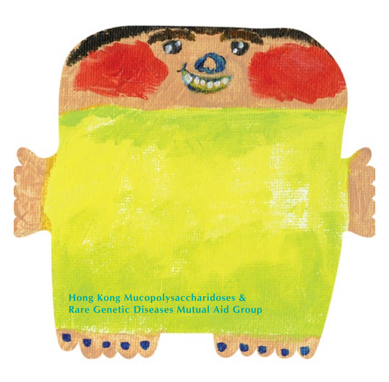



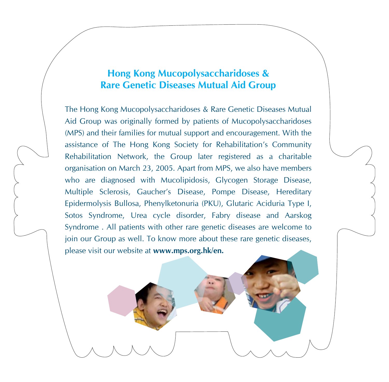### **Hong Kong Mucopolysaccharidoses & Rare Genetic Diseases Mutual Aid Group**

The Hong Kong Mucopolysaccharidoses & Rare Genetic Diseases Mutual Aid Group was originally formed by patients of Mucopolysaccharidoses (MPS) and their families for mutual support and encouragement. With the assistance of The Hong Kong Society for Rehabilitation's Community Rehabilitation Network, the Group later registered as a charitable organisation on March 23, 2005. Apart from MPS, we also have members who are diagnosed with Mucolipidosis, Glycogen Storage Disease, Multiple Sclerosis, Gaucher's Disease, Pompe Disease, Hereditary Epidermolysis Bullosa, Phenylketonuria (PKU), Glutaric Aciduria Type I, Sotos Syndrome, Urea cycle disorder, Fabry disease and Aarskog Syndrome . All patients with other rare genetic diseases are welcome to join our Group as well. To know more about these rare genetic diseases, please visit our website at **www.mps.org.hk/en.**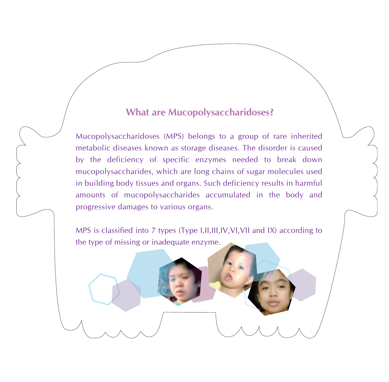#### **What are Mucopolysaccharidoses?**

Mucopolysaccharidoses (MPS) belongs to a group of rare inherited metabolic diseases known as storage diseases. The disorder is caused by the deficiency of specific enzymes needed to break down mucopolysaccharides, which are long chains of sugar molecules used in building body tissues and organs. Such deficiency results in harmful amounts of mucopolysaccharides accumulated in the body and progressive damages to various organs.

MPS is classified into 7 types (Type I,II,III,IV,VI,VII and IX) according to the type of missing or inadequate enzyme.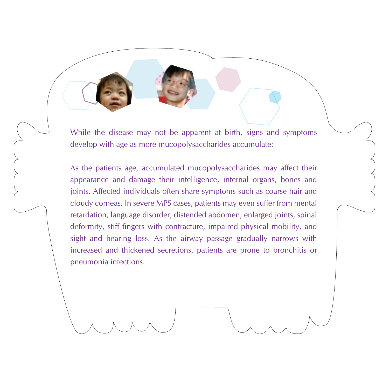While the disease may not be apparent at birth, signs and symptoms develop with age as more mucopolysaccharides accumulate:

As the patients age, accumulated mucopolysaccharides may affect their appearance and damage their intelligence, internal organs, bones and joints. Affected individuals often share symptoms such as coarse hair and cloudy corneas. In severe MPS cases, patients may even suffer from mental retardation, language disorder, distended abdomen, enlarged joints, spinal deformity, stiff fingers with contracture, impaired physical mobility, and sight and hearing loss. As the airway passage gradually narrows with increased and thickened secretions, patients are prone to bronchitis or pneumonia infections.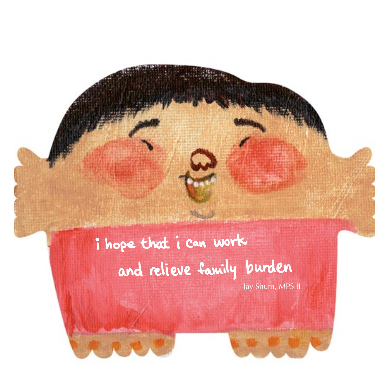## i hope that i can work and relieve family burden

Jay Shum, MPS II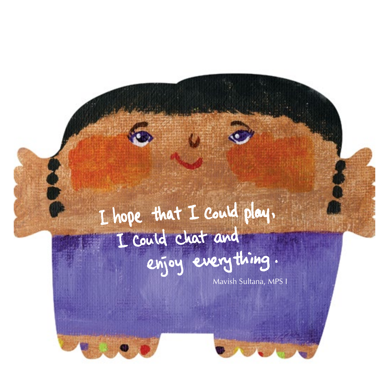## I hope that I could play. I could chat and enjoy everything.

Mavish Sultana, MPS I



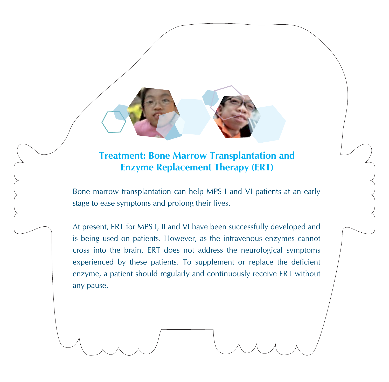### **Treatment: Bone Marrow Transplantation and Enzyme Replacement Therapy (ERT)**

Bone marrow transplantation can help MPS I and VI patients at an early stage to ease symptoms and prolong their lives.

At present, ERT for MPS I, II and VI have been successfully developed and is being used on patients. However, as the intravenous enzymes cannot cross into the brain, ERT does not address the neurological symptoms experienced by these patients. To supplement or replace the deficient enzyme, a patient should regularly and continuously receive ERT without any pause.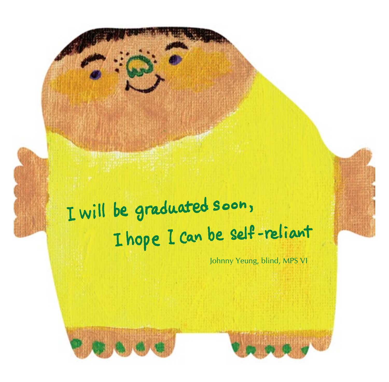## I will be graduated soon, I hope I can be self-reliant

Johnny Yeung, blind, MPS VI

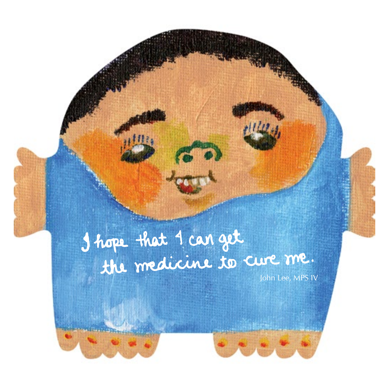# I hope that 1 can get<br>the medicine to cure me.

 $\frac{1}{2}$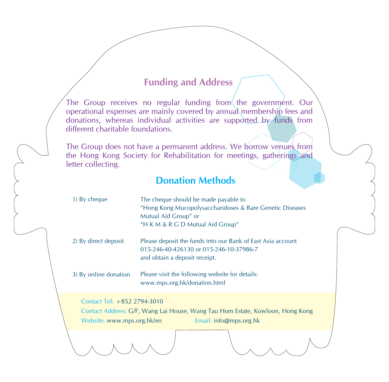### **Funding and Address**

The Group receives no regular funding from the government. Our operational expenses are mainly covered by annual membership fees and donations, whereas individual activities are supported by funds from different charitable foundations.

The Group does not have a permanent address. We borrow venues from the Hong Kong Society for Rehabilitation for meetings, gatherings and letter collecting.

### **Donation Methods**

| 1) By cheque          | The cheque should be made payable to<br>"Hong Kong Mucopolysaccharidoses & Rare Genetic Diseases<br>Mutual Aid Group" or<br>"H K M & R G D Mutual Aid Group" |
|-----------------------|--------------------------------------------------------------------------------------------------------------------------------------------------------------|
| 2) By direct deposit  | Please deposit the funds into our Bank of East Asia account<br>015-246-40-426130 or 015-246-10-37986-7<br>and obtain a deposit receipt.                      |
| 3) By online donation | Please visit the following website for details:<br>www.mps.org.hk/donation.html                                                                              |

Contact Tel: +852 2794-3010

Contact Address: G/F, Wang Lai House, Wang Tau Hom Estate, Kowloon, Hong Kong Website: www.mps.org.hk/en Email: info@mps.org.hk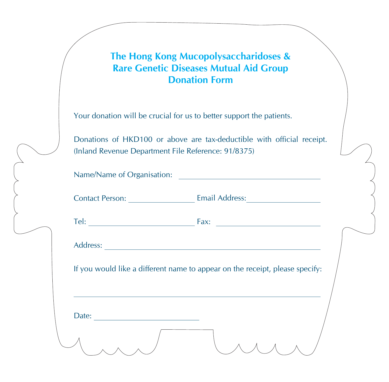### **The Hong Kong Mucopolysaccharidoses & Rare Genetic Diseases Mutual Aid Group Donation Form**

Your donation will be crucial for us to better support the patients.

Donations of HKD100 or above are tax-deductible with official receipt. (Inland Revenue Department File Reference: 91/8375)

| If you would like a different name to appear on the receipt, please specify: |
|------------------------------------------------------------------------------|
|                                                                              |